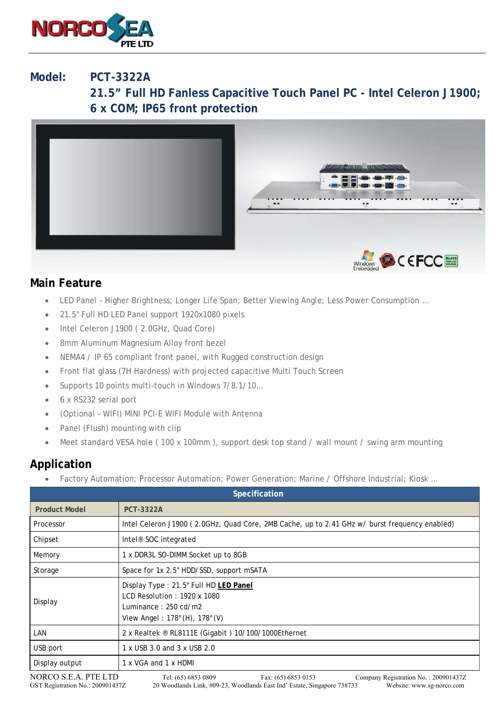

## **Model: PCT-3322A**

**21.5" Full HD Fanless Capacitive Touch Panel PC - Intel Celeron J1900; 6 x COM; IP65 front protection** 



## **Main Feature**

- LED Panel Higher Brightness; Longer Life Span; Better Viewing Angle; Less Power Consumption …
- 21.5" Full HD LED Panel support 1920x1080 pixels
- Intel Celeron J1900 (2.0GHz, Quad Core)
- 8mm Aluminum Magnesium Alloy front bezel
- NEMA4 / IP 65 compliant front panel, with Rugged construction design
- Front flat glass (7H Hardness) with projected capacitive Multi Touch Screen
- Supports 10 points multi-touch in Windows 7/8.1/10…
- 6 x RS232 serial port
- (Optional WIFI) MINI PCI-E WIFI Module with Antenna
- Panel (Flush) mounting with clip
- Meet standard VESA hole ( 100 x 100mm ), support desk top stand / wall mount / swing arm mounting

## **Application**

Factory Automation; Processor Automation; Power Generation; Marine / Offshore Industrial; Kiosk …

| <b>Specification</b>                                                                                                                                                                                                                                   |                                                                                                                                                                   |
|--------------------------------------------------------------------------------------------------------------------------------------------------------------------------------------------------------------------------------------------------------|-------------------------------------------------------------------------------------------------------------------------------------------------------------------|
| <b>Product Model</b>                                                                                                                                                                                                                                   | <b>PCT-3322A</b>                                                                                                                                                  |
| Processor                                                                                                                                                                                                                                              | Intel Celeron J1900 (2.0GHz, Quad Core, 2MB Cache, up to 2.41 GHz w/ burst frequency enabled)                                                                     |
| Chipset                                                                                                                                                                                                                                                | Intel <sup>®</sup> SOC integrated                                                                                                                                 |
| Memory                                                                                                                                                                                                                                                 | 1 x DDR3L SO-DIMM Socket up to 8GB                                                                                                                                |
| Storage                                                                                                                                                                                                                                                | Space for 1x 2.5" HDD/SSD, support mSATA                                                                                                                          |
| Display                                                                                                                                                                                                                                                | Display Type: 21.5" Full HD LED Panel<br>LCD Resolution: $1920 \times 1080$<br>Luminance: $250 \text{ cd/m2}$<br>View Angel: $178^{\circ}$ (H), $178^{\circ}$ (V) |
| LAN                                                                                                                                                                                                                                                    | 2 x Realtek ® RL8111E (Gigabit) 10/100/1000Ethernet                                                                                                               |
| USB port                                                                                                                                                                                                                                               | 1 x USB 3.0 and 3 x USB 2.0                                                                                                                                       |
| Display output                                                                                                                                                                                                                                         | 1 x VGA and 1 x HDMI                                                                                                                                              |
| NORCO S.E.A. PTE LTD<br>Tel: (65) 6853 0809<br>Fax: (65) 6853 0153<br>Company Registration No.: 200901437Z<br>20 Woodlands Link, #09-23, Woodlands East Ind' Estate, Singapore 738733<br>Website: www.sg-norco.com<br>GST Registration No.: 200901437Z |                                                                                                                                                                   |